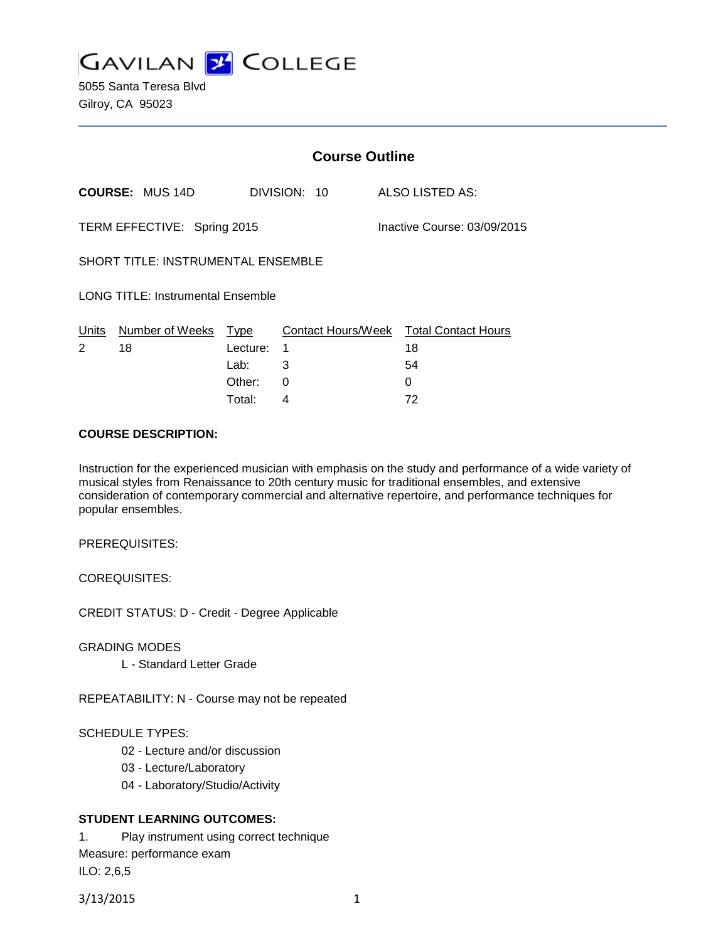

5055 Santa Teresa Blvd Gilroy, CA 95023

|                                          | <b>Course Outline</b>       |          |                             |              |  |                                              |
|------------------------------------------|-----------------------------|----------|-----------------------------|--------------|--|----------------------------------------------|
|                                          | <b>COURSE: MUS 14D</b>      |          |                             | DIVISION: 10 |  | ALSO LISTED AS:                              |
|                                          | TERM EFFECTIVE: Spring 2015 |          | Inactive Course: 03/09/2015 |              |  |                                              |
| SHORT TITLE: INSTRUMENTAL ENSEMBLE       |                             |          |                             |              |  |                                              |
| <b>LONG TITLE: Instrumental Ensemble</b> |                             |          |                             |              |  |                                              |
| Units<br>2                               | Number of Weeks Type<br>18  | Lecture: | -1                          |              |  | Contact Hours/Week Total Contact Hours<br>18 |
|                                          |                             | Lab:     | 3                           |              |  | 54                                           |
|                                          |                             | Other:   | $\Omega$                    |              |  | 0                                            |
|                                          |                             | Total:   | 4                           |              |  | 72                                           |

### **COURSE DESCRIPTION:**

Instruction for the experienced musician with emphasis on the study and performance of a wide variety of musical styles from Renaissance to 20th century music for traditional ensembles, and extensive consideration of contemporary commercial and alternative repertoire, and performance techniques for popular ensembles.

PREREQUISITES:

COREQUISITES:

CREDIT STATUS: D - Credit - Degree Applicable

GRADING MODES

L - Standard Letter Grade

REPEATABILITY: N - Course may not be repeated

## SCHEDULE TYPES:

- 02 Lecture and/or discussion
- 03 Lecture/Laboratory
- 04 Laboratory/Studio/Activity

# **STUDENT LEARNING OUTCOMES:**

1. Play instrument using correct technique Measure: performance exam ILO: 2,6,5

3/13/2015 1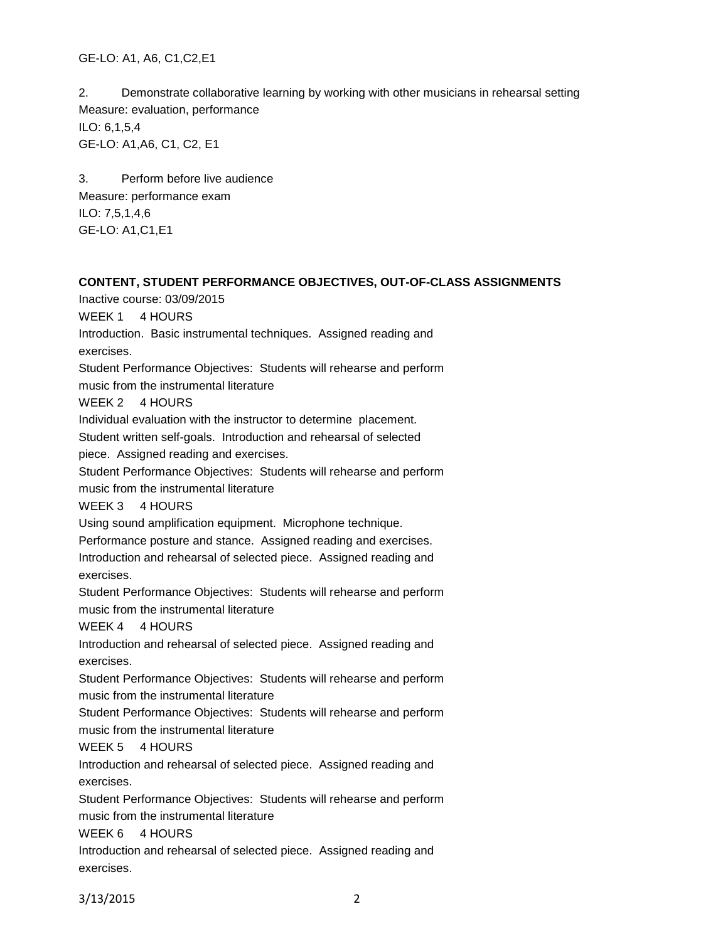GE-LO: A1, A6, C1,C2,E1

2. Demonstrate collaborative learning by working with other musicians in rehearsal setting Measure: evaluation, performance ILO: 6,1,5,4 GE-LO: A1,A6, C1, C2, E1

3. Perform before live audience Measure: performance exam ILO: 7,5,1,4,6 GE-LO: A1,C1,E1

## **CONTENT, STUDENT PERFORMANCE OBJECTIVES, OUT-OF-CLASS ASSIGNMENTS**

Inactive course: 03/09/2015

WEEK 1 4 HOURS

Introduction. Basic instrumental techniques. Assigned reading and exercises.

Student Performance Objectives: Students will rehearse and perform music from the instrumental literature

WEEK 2 4 HOURS

Individual evaluation with the instructor to determine placement.

Student written self-goals. Introduction and rehearsal of selected

piece. Assigned reading and exercises.

Student Performance Objectives: Students will rehearse and perform

music from the instrumental literature

WEEK 3 4 HOURS

Using sound amplification equipment. Microphone technique.

Performance posture and stance. Assigned reading and exercises.

Introduction and rehearsal of selected piece. Assigned reading and exercises.

Student Performance Objectives: Students will rehearse and perform music from the instrumental literature

WEEK 4 4 HOURS

Introduction and rehearsal of selected piece. Assigned reading and exercises.

Student Performance Objectives: Students will rehearse and perform music from the instrumental literature

Student Performance Objectives: Students will rehearse and perform music from the instrumental literature

## WEEK 5 4 HOURS

Introduction and rehearsal of selected piece. Assigned reading and exercises.

Student Performance Objectives: Students will rehearse and perform music from the instrumental literature

WEEK 6 4 HOURS

Introduction and rehearsal of selected piece. Assigned reading and exercises.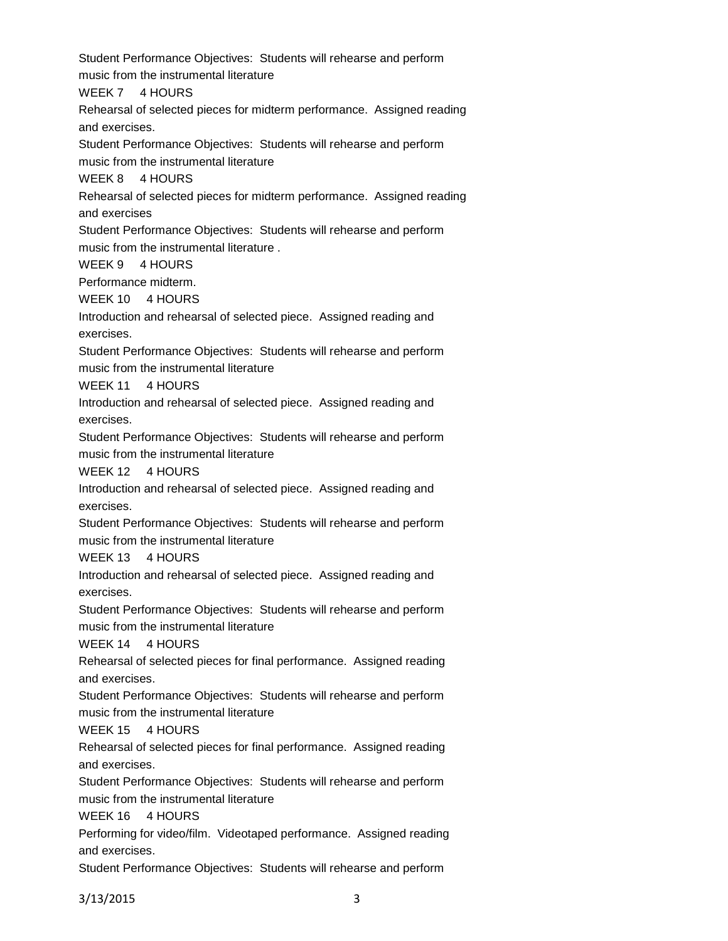Student Performance Objectives: Students will rehearse and perform music from the instrumental literature

WEEK 7 4 HOURS

Rehearsal of selected pieces for midterm performance. Assigned reading and exercises.

Student Performance Objectives: Students will rehearse and perform music from the instrumental literature

WEEK 8 4 HOURS

Rehearsal of selected pieces for midterm performance. Assigned reading and exercises

Student Performance Objectives: Students will rehearse and perform music from the instrumental literature .

WEEK 9 4 HOURS

Performance midterm.

WEEK 10 4 HOURS

Introduction and rehearsal of selected piece. Assigned reading and exercises.

Student Performance Objectives: Students will rehearse and perform music from the instrumental literature

WEEK 11 4 HOURS

Introduction and rehearsal of selected piece. Assigned reading and exercises.

Student Performance Objectives: Students will rehearse and perform music from the instrumental literature

WEEK 12 4 HOURS

Introduction and rehearsal of selected piece. Assigned reading and exercises.

Student Performance Objectives: Students will rehearse and perform music from the instrumental literature

WEEK 13 4 HOURS

Introduction and rehearsal of selected piece. Assigned reading and exercises.

Student Performance Objectives: Students will rehearse and perform music from the instrumental literature

WEEK 14 4 HOURS

Rehearsal of selected pieces for final performance. Assigned reading and exercises.

Student Performance Objectives: Students will rehearse and perform music from the instrumental literature

WEEK 15 4 HOURS

Rehearsal of selected pieces for final performance. Assigned reading and exercises.

Student Performance Objectives: Students will rehearse and perform music from the instrumental literature

WEEK 16 4 HOURS

Performing for video/film. Videotaped performance. Assigned reading and exercises.

Student Performance Objectives: Students will rehearse and perform

3/13/2015 3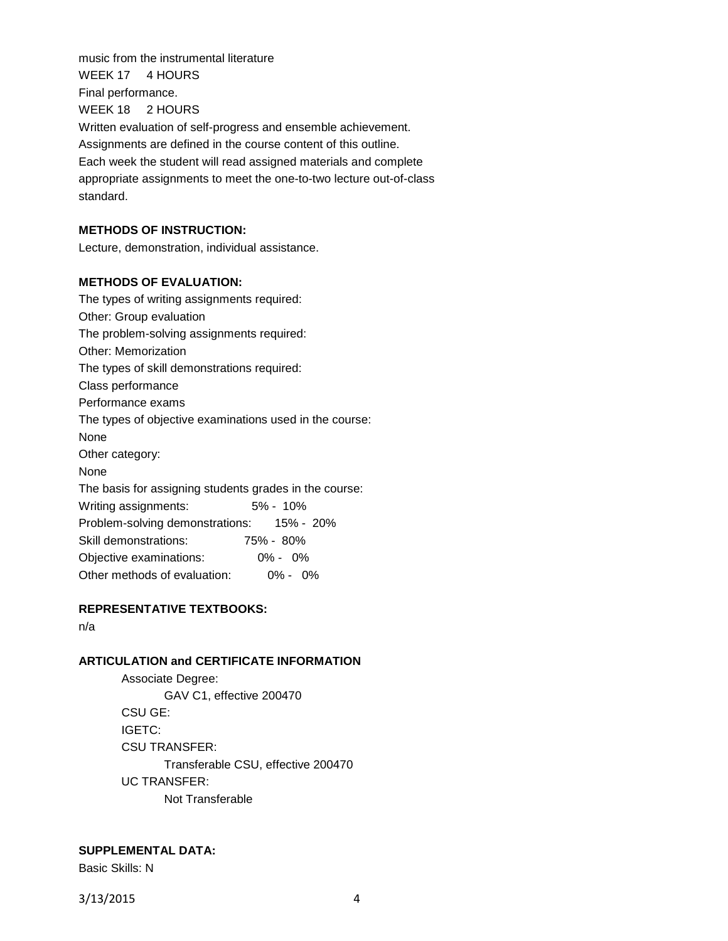music from the instrumental literature WEEK 17 4 HOURS Final performance. WEEK 18 2 HOURS Written evaluation of self-progress and ensemble achievement. Assignments are defined in the course content of this outline. Each week the student will read assigned materials and complete appropriate assignments to meet the one-to-two lecture out-of-class standard.

## **METHODS OF INSTRUCTION:**

Lecture, demonstration, individual assistance.

### **METHODS OF EVALUATION:**

The types of writing assignments required: Other: Group evaluation The problem-solving assignments required: Other: Memorization The types of skill demonstrations required: Class performance Performance exams The types of objective examinations used in the course: None Other category: None The basis for assigning students grades in the course: Writing assignments: 5% - 10% Problem-solving demonstrations: 15% - 20% Skill demonstrations: 75% - 80% Objective examinations: 0% - 0% Other methods of evaluation: 0% - 0%

### **REPRESENTATIVE TEXTBOOKS:**

n/a

# **ARTICULATION and CERTIFICATE INFORMATION**

Associate Degree: GAV C1, effective 200470 CSU GE: IGETC: CSU TRANSFER: Transferable CSU, effective 200470 UC TRANSFER: Not Transferable

### **SUPPLEMENTAL DATA:**

Basic Skills: N

3/13/2015 4